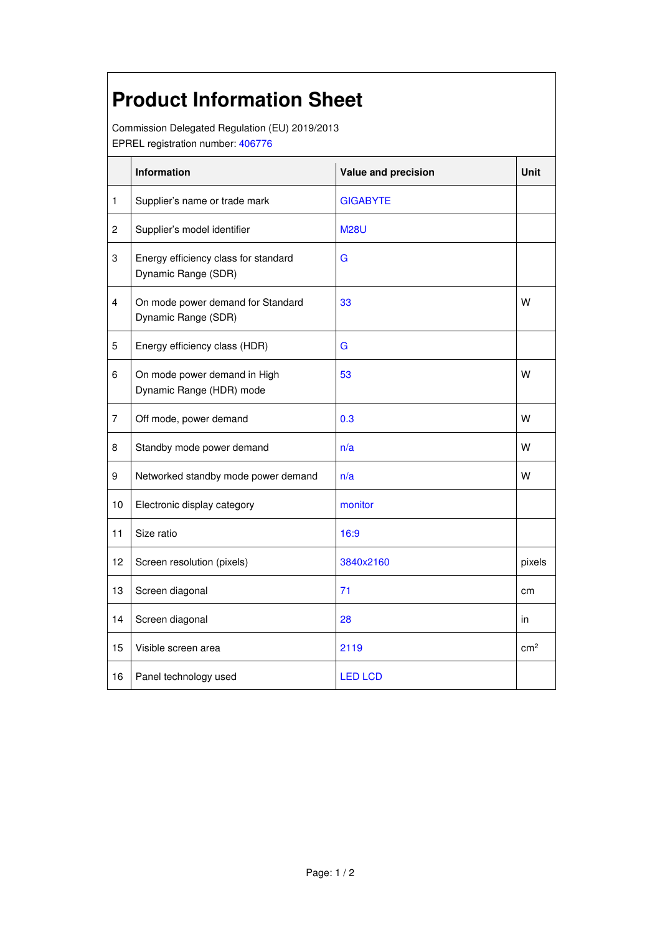## **Product Information Sheet**

Commission Delegated Regulation (EU) 2019/2013 EPREL registration number: 406776

|                | Information                                                 | Value and precision | <b>Unit</b>     |
|----------------|-------------------------------------------------------------|---------------------|-----------------|
| 1              | Supplier's name or trade mark                               | <b>GIGABYTE</b>     |                 |
| $\overline{c}$ | Supplier's model identifier                                 | <b>M28U</b>         |                 |
| 3              | Energy efficiency class for standard<br>Dynamic Range (SDR) | G                   |                 |
| 4              | On mode power demand for Standard<br>Dynamic Range (SDR)    | 33                  | W               |
| 5              | Energy efficiency class (HDR)                               | G                   |                 |
| 6              | On mode power demand in High<br>Dynamic Range (HDR) mode    | 53                  | W               |
| $\overline{7}$ | Off mode, power demand                                      | 0.3                 | w               |
| 8              | Standby mode power demand                                   | n/a                 | w               |
| 9              | Networked standby mode power demand                         | n/a                 | w               |
| 10             | Electronic display category                                 | monitor             |                 |
| 11             | Size ratio                                                  | 16:9                |                 |
| 12             | Screen resolution (pixels)                                  | 3840x2160           | pixels          |
| 13             | Screen diagonal                                             | 71                  | cm              |
| 14             | Screen diagonal                                             | 28                  | in              |
| 15             | Visible screen area                                         | 2119                | cm <sup>2</sup> |
| 16             | Panel technology used                                       | <b>LED LCD</b>      |                 |